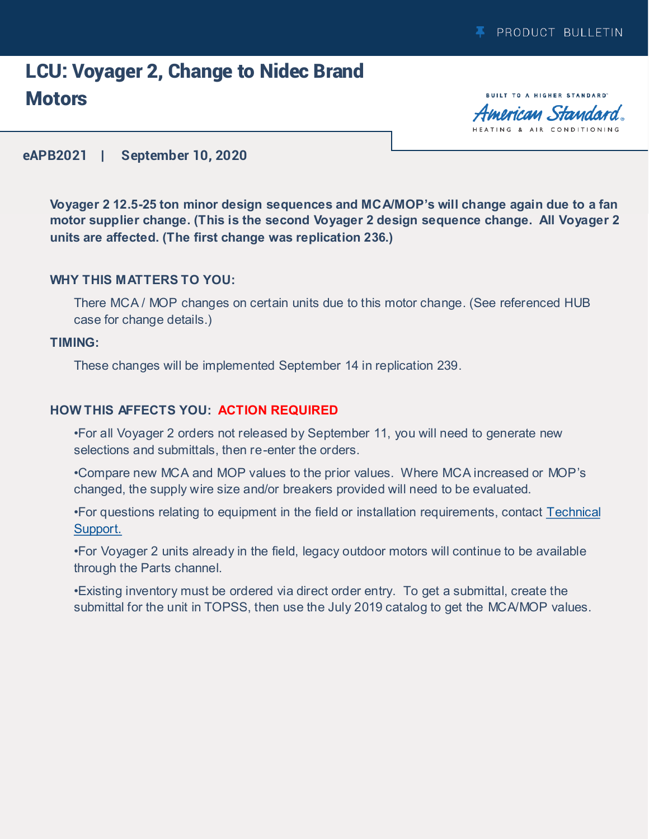## LCU: Voyager 2, Change to Nidec Brand **Motors**

**BUILT TO A HIGHER STANDARD** American Standard HEATING & AIR CONDITIONING

#### **eAPB2021 | September 10, 2020**

**Voyager 2 12.5-25 ton minor design sequences and MCA/MOP's will change again due to a fan motor supplier change. (This is the second Voyager 2 design sequence change. All Voyager 2 units are affected. (The first change was replication 236.)**

#### **WHY THIS MATTERS TO YOU:**

There MCA / MOP changes on certain units due to this motor change. (See referenced HUB case for change details.)

#### **TIMING:**

These changes will be implemented September 14 in replication 239.

#### **HOW THIS AFFECTS YOU: ACTION REQUIRED**

•For all Voyager 2 orders not released by September 11, you will need to generate new selections and submittals, then re-enter the orders.

•Compare new MCA and MOP values to the prior values. Where MCA increased or MOP's changed, the supply wire size and/or breakers provided will need to be evaluated.

•For questions relating to equipment in the field or installation requirements, contact [Technical](mailto:techsupportlight-voyager2@trane.com)  [Support.](mailto:techsupportlight-voyager2@trane.com)

•For Voyager 2 units already in the field, legacy outdoor motors will continue to be available through the Parts channel.

•Existing inventory must be ordered via direct order entry. To get a submittal, create the submittal for the unit in TOPSS, then use the July 2019 catalog to get the MCA/MOP values.